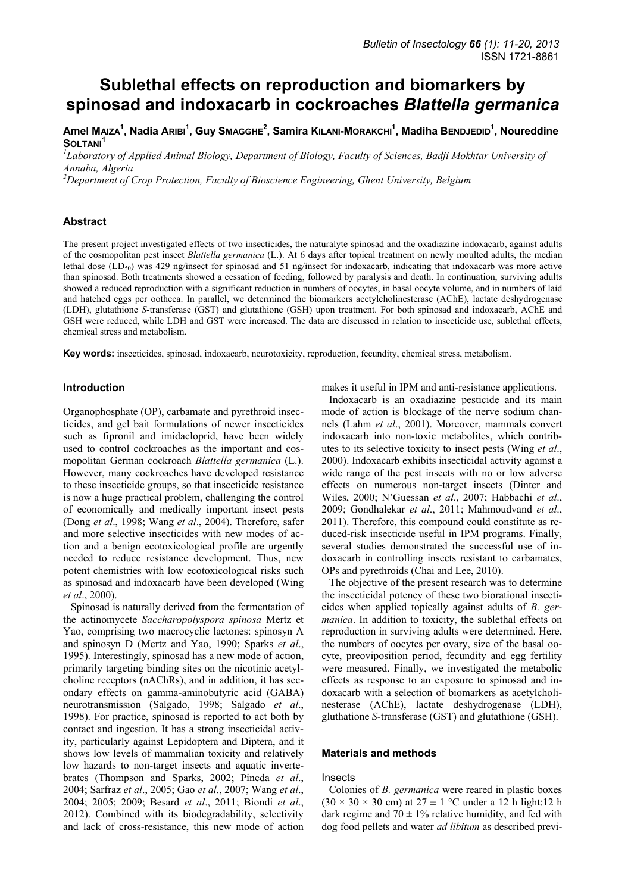# **Sublethal effects on reproduction and biomarkers by spinosad and indoxacarb in cockroaches** *Blattella germanica*

**Amel MAIZA1 , Nadia ARIBI<sup>1</sup> , Guy SMAGGHE2 , Samira KILANI-MORAKCHI1 , Madiha BENDJEDID<sup>1</sup> , Noureddine SOLTANI<sup>1</sup>**

<sup>1</sup>Laboratory of Applied Animal Biology, Department of Biology, Faculty of Sciences, Badji Mokhtar University of *Annaba, Algeria* 

*2 Department of Crop Protection, Faculty of Bioscience Engineering, Ghent University, Belgium* 

## **Abstract**

The present project investigated effects of two insecticides, the naturalyte spinosad and the oxadiazine indoxacarb, against adults of the cosmopolitan pest insect *Blattella germanica* (L.). At 6 days after topical treatment on newly moulted adults, the median lethal dose  $(LD_{50})$  was 429 ng/insect for spinosad and 51 ng/insect for indoxacarb, indicating that indoxacarb was more active than spinosad. Both treatments showed a cessation of feeding, followed by paralysis and death. In continuation, surviving adults showed a reduced reproduction with a significant reduction in numbers of oocytes, in basal oocyte volume, and in numbers of laid and hatched eggs per ootheca. In parallel, we determined the biomarkers acetylcholinesterase (AChE), lactate deshydrogenase (LDH), glutathione *S*-transferase (GST) and glutathione (GSH) upon treatment. For both spinosad and indoxacarb, AChE and GSH were reduced, while LDH and GST were increased. The data are discussed in relation to insecticide use, sublethal effects, chemical stress and metabolism.

**Key words:** insecticides, spinosad, indoxacarb, neurotoxicity, reproduction, fecundity, chemical stress, metabolism.

## **Introduction**

Organophosphate (OP), carbamate and pyrethroid insecticides, and gel bait formulations of newer insecticides such as fipronil and imidacloprid, have been widely used to control cockroaches as the important and cosmopolitan German cockroach *Blattella germanica* (L.). However, many cockroaches have developed resistance to these insecticide groups, so that insecticide resistance is now a huge practical problem, challenging the control of economically and medically important insect pests (Dong *et al*., 1998; Wang *et al*., 2004). Therefore, safer and more selective insecticides with new modes of action and a benign ecotoxicological profile are urgently needed to reduce resistance development. Thus, new potent chemistries with low ecotoxicological risks such as spinosad and indoxacarb have been developed (Wing *et al*., 2000).

Spinosad is naturally derived from the fermentation of the actinomycete *Saccharopolyspora spinosa* Mertz et Yao, comprising two macrocyclic lactones: spinosyn A and spinosyn D (Mertz and Yao, 1990; Sparks *et al*., 1995). Interestingly, spinosad has a new mode of action, primarily targeting binding sites on the nicotinic acetylcholine receptors (nAChRs), and in addition, it has secondary effects on gamma-aminobutyric acid (GABA) neurotransmission (Salgado, 1998; Salgado *et al*., 1998). For practice, spinosad is reported to act both by contact and ingestion. It has a strong insecticidal activity, particularly against Lepidoptera and Diptera, and it shows low levels of mammalian toxicity and relatively low hazards to non-target insects and aquatic invertebrates (Thompson and Sparks, 2002; Pineda *et al*., 2004; Sarfraz *et al*., 2005; Gao *et al*., 2007; Wang *et al*., 2004; 2005; 2009; Besard *et al*., 2011; Biondi *et al*., 2012). Combined with its biodegradability, selectivity and lack of cross-resistance, this new mode of action

makes it useful in IPM and anti-resistance applications.

Indoxacarb is an oxadiazine pesticide and its main mode of action is blockage of the nerve sodium channels (Lahm *et al*., 2001). Moreover, mammals convert indoxacarb into non-toxic metabolites, which contributes to its selective toxicity to insect pests (Wing *et al*., 2000). Indoxacarb exhibits insecticidal activity against a wide range of the pest insects with no or low adverse effects on numerous non-target insects (Dinter and Wiles, 2000; N'Guessan *et al*., 2007; Habbachi *et al*., 2009; Gondhalekar *et al*., 2011; Mahmoudvand *et al*., 2011). Therefore, this compound could constitute as reduced-risk insecticide useful in IPM programs. Finally, several studies demonstrated the successful use of indoxacarb in controlling insects resistant to carbamates, OPs and pyrethroids (Chai and Lee, 2010).

The objective of the present research was to determine the insecticidal potency of these two biorational insecticides when applied topically against adults of *B. germanica*. In addition to toxicity, the sublethal effects on reproduction in surviving adults were determined. Here, the numbers of oocytes per ovary, size of the basal oocyte, preoviposition period, fecundity and egg fertility were measured. Finally, we investigated the metabolic effects as response to an exposure to spinosad and indoxacarb with a selection of biomarkers as acetylcholinesterase (AChE), lactate deshydrogenase (LDH), gluthatione *S*-transferase (GST) and glutathione (GSH).

## **Materials and methods**

#### Insects

Colonies of *B. germanica* were reared in plastic boxes  $(30 \times 30 \times 30 \text{ cm})$  at  $27 \pm 1$  °C under a 12 h light:12 h dark regime and  $70 \pm 1\%$  relative humidity, and fed with dog food pellets and water *ad libitum* as described previ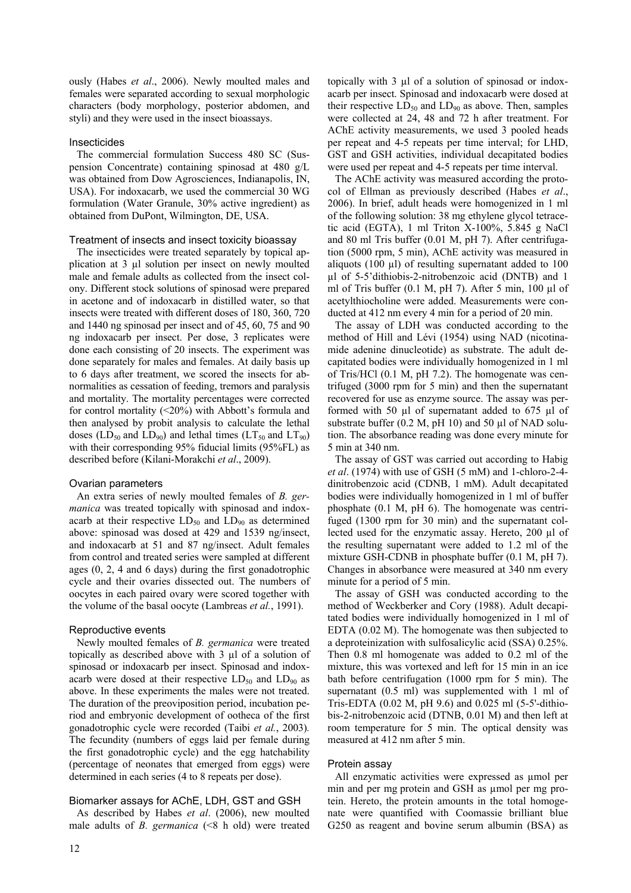ously (Habes *et al*., 2006). Newly moulted males and females were separated according to sexual morphologic characters (body morphology, posterior abdomen, and styli) and they were used in the insect bioassays.

## Insecticides

The commercial formulation Success 480 SC (Suspension Concentrate) containing spinosad at 480 g/L was obtained from Dow Agrosciences, Indianapolis, IN, USA). For indoxacarb, we used the commercial 30 WG formulation (Water Granule, 30% active ingredient) as obtained from DuPont, Wilmington, DE, USA.

## Treatment of insects and insect toxicity bioassay

The insecticides were treated separately by topical application at 3 µl solution per insect on newly moulted male and female adults as collected from the insect colony. Different stock solutions of spinosad were prepared in acetone and of indoxacarb in distilled water, so that insects were treated with different doses of 180, 360, 720 and 1440 ng spinosad per insect and of 45, 60, 75 and 90 ng indoxacarb per insect. Per dose, 3 replicates were done each consisting of 20 insects. The experiment was done separately for males and females. At daily basis up to 6 days after treatment, we scored the insects for abnormalities as cessation of feeding, tremors and paralysis and mortality. The mortality percentages were corrected for control mortality (<20%) with Abbott's formula and then analysed by probit analysis to calculate the lethal doses (LD<sub>50</sub> and LD<sub>90</sub>) and lethal times (LT<sub>50</sub> and LT<sub>90</sub>) with their corresponding 95% fiducial limits (95%FL) as described before (Kilani-Morakchi *et al*., 2009).

# Ovarian parameters

An extra series of newly moulted females of *B. germanica* was treated topically with spinosad and indoxacarb at their respective  $LD_{50}$  and  $LD_{90}$  as determined above: spinosad was dosed at 429 and 1539 ng/insect, and indoxacarb at 51 and 87 ng/insect. Adult females from control and treated series were sampled at different ages (0, 2, 4 and 6 days) during the first gonadotrophic cycle and their ovaries dissected out. The numbers of oocytes in each paired ovary were scored together with the volume of the basal oocyte (Lambreas *et al.*, 1991).

### Reproductive events

Newly moulted females of *B. germanica* were treated topically as described above with 3 µl of a solution of spinosad or indoxacarb per insect. Spinosad and indoxacarb were dosed at their respective  $LD_{50}$  and  $LD_{90}$  as above. In these experiments the males were not treated. The duration of the preoviposition period, incubation period and embryonic development of ootheca of the first gonadotrophic cycle were recorded (Taibi *et al.*, 2003)*.* The fecundity (numbers of eggs laid per female during the first gonadotrophic cycle) and the egg hatchability (percentage of neonates that emerged from eggs) were determined in each series (4 to 8 repeats per dose).

# Biomarker assays for AChE, LDH, GST and GSH

As described by Habes *et al*. (2006), new moulted male adults of *B. germanica* (<8 h old) were treated topically with 3 µl of a solution of spinosad or indoxacarb per insect. Spinosad and indoxacarb were dosed at their respective  $LD_{50}$  and  $LD_{90}$  as above. Then, samples were collected at 24, 48 and 72 h after treatment. For AChE activity measurements, we used 3 pooled heads per repeat and 4-5 repeats per time interval; for LHD, GST and GSH activities, individual decapitated bodies were used per repeat and 4-5 repeats per time interval.

The AChE activity was measured according the protocol of Ellman as previously described (Habes *et al*., 2006). In brief, adult heads were homogenized in 1 ml of the following solution: 38 mg ethylene glycol tetracetic acid (EGTA), 1 ml Triton X-100%, 5.845 g NaCl and 80 ml Tris buffer (0.01 M, pH 7). After centrifugation (5000 rpm, 5 min), AChE activity was measured in aliquots (100 µl) of resulting supernatant added to 100 µl of 5-5'dithiobis-2-nitrobenzoic acid (DNTB) and 1 ml of Tris buffer (0.1 M, pH 7). After 5 min, 100 µl of acetylthiocholine were added. Measurements were conducted at 412 nm every 4 min for a period of 20 min.

The assay of LDH was conducted according to the method of Hill and Lévi (1954) using NAD (nicotinamide adenine dinucleotide) as substrate. The adult decapitated bodies were individually homogenized in 1 ml of Tris/HCl (0.1 M, pH 7.2). The homogenate was centrifuged (3000 rpm for 5 min) and then the supernatant recovered for use as enzyme source. The assay was performed with 50 µl of supernatant added to 675 µl of substrate buffer  $(0.2 \text{ M}, \text{pH } 10)$  and  $50 \text{ µl of NAD}$  solution. The absorbance reading was done every minute for 5 min at 340 nm.

The assay of GST was carried out according to Habig *et al*. (1974) with use of GSH (5 mM) and 1-chloro-2-4 dinitrobenzoic acid (CDNB, 1 mM). Adult decapitated bodies were individually homogenized in 1 ml of buffer phosphate (0.1 M, pH 6). The homogenate was centrifuged (1300 rpm for 30 min) and the supernatant collected used for the enzymatic assay. Hereto, 200 ul of the resulting supernatant were added to 1.2 ml of the mixture GSH-CDNB in phosphate buffer (0.1 M, pH 7). Changes in absorbance were measured at 340 nm every minute for a period of 5 min.

The assay of GSH was conducted according to the method of Weckberker and Cory (1988). Adult decapitated bodies were individually homogenized in 1 ml of EDTA (0.02 M). The homogenate was then subjected to a deproteinization with sulfosalicylic acid (SSA) 0.25%. Then 0.8 ml homogenate was added to 0.2 ml of the mixture, this was vortexed and left for 15 min in an ice bath before centrifugation (1000 rpm for 5 min). The supernatant (0.5 ml) was supplemented with 1 ml of Tris-EDTA (0.02 M, pH 9.6) and 0.025 ml (5-5'-dithiobis-2-nitrobenzoic acid (DTNB, 0.01 M) and then left at room temperature for 5 min. The optical density was measured at 412 nm after 5 min.

# Protein assay

All enzymatic activities were expressed as umol per min and per mg protein and GSH as µmol per mg protein. Hereto, the protein amounts in the total homogenate were quantified with Coomassie brilliant blue G250 as reagent and bovine serum albumin (BSA) as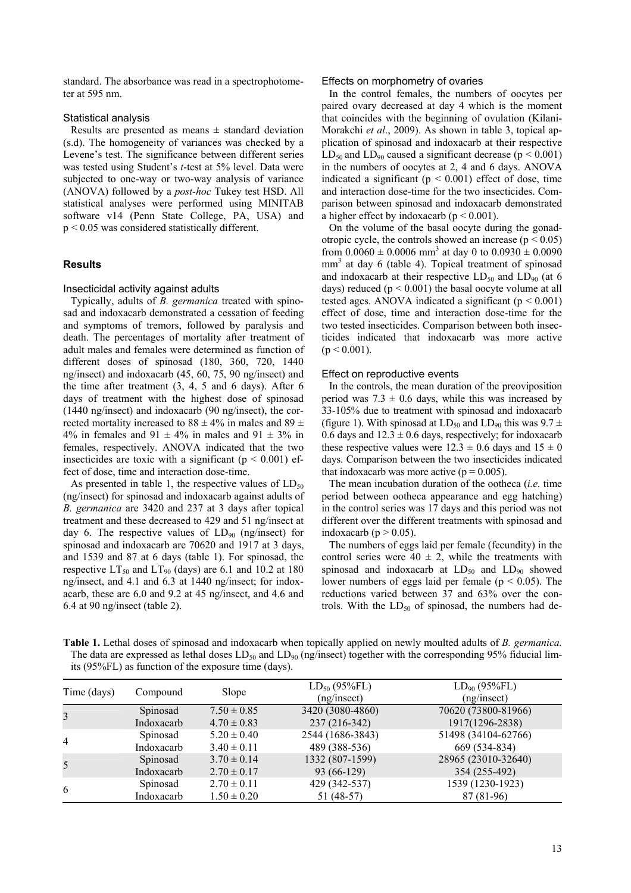standard. The absorbance was read in a spectrophotometer at 595 nm.

#### Statistical analysis

Results are presented as means  $\pm$  standard deviation (s.d). The homogeneity of variances was checked by a Levene's test. The significance between different series was tested using Student's *t*-test at 5% level. Data were subjected to one-way or two-way analysis of variance (ANOVA) followed by a *post-hoc* Tukey test HSD. All statistical analyses were performed using MINITAB software v14 (Penn State College, PA, USA) and p < 0.05 was considered statistically different.

### **Results**

#### Insecticidal activity against adults

Typically, adults of *B. germanica* treated with spinosad and indoxacarb demonstrated a cessation of feeding and symptoms of tremors, followed by paralysis and death. The percentages of mortality after treatment of adult males and females were determined as function of different doses of spinosad (180, 360, 720, 1440 ng/insect) and indoxacarb (45, 60, 75, 90 ng/insect) and the time after treatment (3, 4, 5 and 6 days). After 6 days of treatment with the highest dose of spinosad (1440 ng/insect) and indoxacarb (90 ng/insect), the corrected mortality increased to  $88 \pm 4\%$  in males and  $89 \pm 1\%$ 4% in females and 91  $\pm$  4% in males and 91  $\pm$  3% in females, respectively. ANOVA indicated that the two insecticides are toxic with a significant ( $p < 0.001$ ) effect of dose, time and interaction dose-time.

As presented in table 1, the respective values of  $LD_{50}$ (ng/insect) for spinosad and indoxacarb against adults of *B. germanica* are 3420 and 237 at 3 days after topical treatment and these decreased to 429 and 51 ng/insect at day 6. The respective values of  $LD_{90}$  (ng/insect) for spinosad and indoxacarb are 70620 and 1917 at 3 days, and 1539 and 87 at 6 days (table 1). For spinosad, the respective  $LT_{50}$  and  $LT_{90}$  (days) are 6.1 and 10.2 at 180 ng/insect, and 4.1 and 6.3 at 1440 ng/insect; for indoxacarb, these are 6.0 and 9.2 at 45 ng/insect, and 4.6 and 6.4 at 90 ng/insect (table 2).

#### Effects on morphometry of ovaries

In the control females, the numbers of oocytes per paired ovary decreased at day 4 which is the moment that coincides with the beginning of ovulation (Kilani-Morakchi *et al*., 2009). As shown in table 3, topical application of spinosad and indoxacarb at their respective  $LD_{50}$  and  $LD_{90}$  caused a significant decrease (p < 0.001) in the numbers of oocytes at 2, 4 and 6 days. ANOVA indicated a significant ( $p < 0.001$ ) effect of dose, time and interaction dose-time for the two insecticides. Comparison between spinosad and indoxacarb demonstrated a higher effect by indoxacarb ( $p < 0.001$ ).

On the volume of the basal oocyte during the gonadotropic cycle, the controls showed an increase  $(p < 0.05)$ from  $0.0060 \pm 0.0006$  mm<sup>3</sup> at day 0 to  $0.0930 \pm 0.0090$ mm<sup>3</sup> at day 6 (table 4). Topical treatment of spinosad and indoxacarb at their respective  $LD_{50}$  and  $LD_{90}$  (at 6 days) reduced  $(p < 0.001)$  the basal oocyte volume at all tested ages. ANOVA indicated a significant  $(p < 0.001)$ effect of dose, time and interaction dose-time for the two tested insecticides. Comparison between both insecticides indicated that indoxacarb was more active  $(p < 0.001)$ .

#### Effect on reproductive events

In the controls, the mean duration of the preoviposition period was  $7.3 \pm 0.6$  days, while this was increased by 33-105% due to treatment with spinosad and indoxacarb (figure 1). With spinosad at  $LD_{50}$  and  $LD_{90}$  this was  $9.7 \pm$ 0.6 days and  $12.3 \pm 0.6$  days, respectively; for indoxacarb these respective values were  $12.3 \pm 0.6$  days and  $15 \pm 0$ days. Comparison between the two insecticides indicated that indoxacarb was more active ( $p = 0.005$ ).

The mean incubation duration of the ootheca (*i.e.* time period between ootheca appearance and egg hatching) in the control series was 17 days and this period was not different over the different treatments with spinosad and indoxacarb ( $p > 0.05$ ).

The numbers of eggs laid per female (fecundity) in the control series were  $40 \pm 2$ , while the treatments with spinosad and indoxacarb at  $LD_{50}$  and  $LD_{90}$  showed lower numbers of eggs laid per female ( $p < 0.05$ ). The reductions varied between 37 and 63% over the controls. With the  $LD_{50}$  of spinosad, the numbers had de-

**Table 1.** Lethal doses of spinosad and indoxacarb when topically applied on newly moulted adults of *B. germanica.* The data are expressed as lethal doses  $LD_{50}$  and  $LD_{90}$  (ng/insect) together with the corresponding 95% fiducial limits (95%FL) as function of the exposure time (days).

| Time (days) | Compound   | Slope           | $LD_{50} (95\% FL)$<br>(ng/insect) | $LD_{90} (95\% FL)$<br>(ng/insect) |
|-------------|------------|-----------------|------------------------------------|------------------------------------|
|             | Spinosad   | $7.50 \pm 0.85$ | 3420 (3080-4860)                   | 70620 (73800-81966)                |
| 3           | Indoxacarb | $4.70 \pm 0.83$ | 237 (216-342)                      | 1917(1296-2838)                    |
| 4           | Spinosad   | $5.20 \pm 0.40$ | 2544 (1686-3843)                   | 51498 (34104-62766)                |
|             | Indoxacarb | $3.40 \pm 0.11$ | 489 (388-536)                      | 669 (534-834)                      |
| 5           | Spinosad   | $3.70 \pm 0.14$ | 1332 (807-1599)                    | 28965 (23010-32640)                |
|             | Indoxacarb | $2.70 \pm 0.17$ | 93 (66-129)                        | 354 (255-492)                      |
|             | Spinosad   | $2.70 \pm 0.11$ | 429 (342-537)                      | 1539 (1230-1923)                   |
| 6           | Indoxacarb | $1.50 \pm 0.20$ | 51 (48-57)                         | 87 (81-96)                         |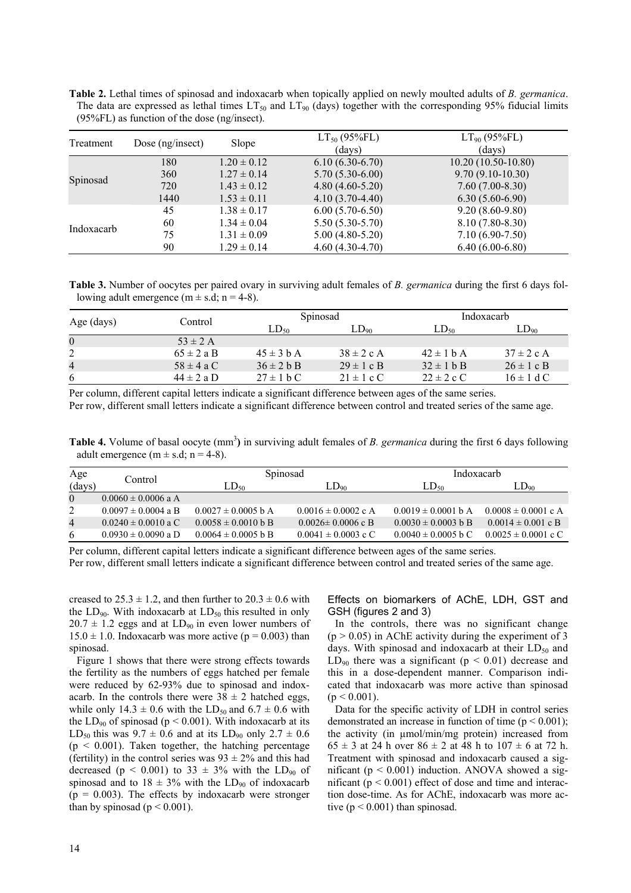| <b>Table 2.</b> Lethal times of spinosad and indoxacarb when topically applied on newly moulted adults of <i>B. germanica.</i> |
|--------------------------------------------------------------------------------------------------------------------------------|
| The data are expressed as lethal times $LT_{50}$ and $LT_{90}$ (days) together with the corresponding 95% fiducial limits      |
| $(95\%FL)$ as function of the dose (ng/insect).                                                                                |

| Treatment  | Dose $(ng/insect)$ | Slope           | $LT_{50}$ (95%FL) | $LT_{90}$ (95%FL)    |
|------------|--------------------|-----------------|-------------------|----------------------|
|            |                    |                 | (days)            | (days)               |
|            | 180                | $1.20 \pm 0.12$ | $6.10(6.30-6.70)$ | $10.20(10.50-10.80)$ |
|            | 360                | $1.27 \pm 0.14$ | $5.70(5.30-6.00)$ | $9.70(9.10-10.30)$   |
| Spinosad   | 720                | $1.43 \pm 0.12$ | $4.80(4.60-5.20)$ | $7.60(7.00-8.30)$    |
|            | 1440               | $1.53 \pm 0.11$ | $4.10(3.70-4.40)$ | $6.30(5.60-6.90)$    |
|            | 45                 | $1.38 \pm 0.17$ | $6.00(5.70-6.50)$ | $9.20(8.60-9.80)$    |
| Indoxacarb | 60                 | $1.34 \pm 0.04$ | $5.50(5.30-5.70)$ | $8.10(7.80 - 8.30)$  |
|            | 75                 | $1.31 \pm 0.09$ | $5.00(4.80-5.20)$ | $7.10(6.90-7.50)$    |
|            | 90                 | $1.29 \pm 0.14$ | $4.60(4.30-4.70)$ | $6.40(6.00-6.80)$    |

**Table 3.** Number of oocytes per paired ovary in surviving adult females of *B. germanica* during the first 6 days following adult emergence  $(m \pm s.d; n = 4-8)$ .

| Age (days)     | Control        | Spinosad       |                | Indoxacarb             |                |
|----------------|----------------|----------------|----------------|------------------------|----------------|
|                |                | $LD_{50}$      | $LD_{90}$      | $LD_{50}$              | $LD_{90}$      |
| $\overline{0}$ | $53 \pm 2$ A   |                |                |                        |                |
|                | $65 \pm 2$ a B | $45 \pm 3$ b A | $38 \pm 2$ c A | $42 \pm 1$ b A         | $37 \pm 2$ c A |
| $\overline{4}$ | $58 \pm 4$ a C | $36 \pm 2 h B$ | $29 \pm 1$ c B | $32 \pm 1$ b B         | $26 \pm 1$ c B |
| 6              | $44 \pm 2$ a D | $27 \pm 1$ b C | $21 \pm 1$ c C | $22 \pm 2 \text{ c C}$ | $16 \pm 1$ d C |

Per column, different capital letters indicate a significant difference between ages of the same series.

Per row, different small letters indicate a significant difference between control and treated series of the same age.

Table 4. Volume of basal oocyte (mm<sup>3</sup>) in surviving adult females of *B. germanica* during the first 6 days following adult emergence (m  $\pm$  s.d; n = 4-8).

| Age            | Control                 | Spinosad                        |                         | Indoxacarb              |                         |
|----------------|-------------------------|---------------------------------|-------------------------|-------------------------|-------------------------|
| (days)         |                         | $LD_{50}$                       | $LD_{90}$               | $LD_{50}$               | $LD_{90}$               |
| $\Omega$       | $0.0060 \pm 0.0006$ a A |                                 |                         |                         |                         |
| 2              | $0.0097 \pm 0.0004$ a B | $0.0027 \pm 0.0005$ b A         | $0.0016 \pm 0.0002$ c A | $0.0019 \pm 0.0001$ b A | $0.0008 \pm 0.0001$ c A |
| $\overline{4}$ | $0.0240 \pm 0.0010$ a C | $0.0058 \pm 0.0010 \text{ b B}$ | $0.0026 \pm 0.0006$ c B | $0.0030 \pm 0.0003$ b B | $0.0014 \pm 0.001$ c B  |
| 6              | $0.0930 \pm 0.0090$ a D | $0.0064 \pm 0.0005$ b B         | $0.0041 \pm 0.0003$ c C | $0.0040 \pm 0.0005$ b C | $0.0025 \pm 0.0001$ c C |

Per column, different capital letters indicate a significant difference between ages of the same series.

Per row, different small letters indicate a significant difference between control and treated series of the same age.

creased to  $25.3 \pm 1.2$ , and then further to  $20.3 \pm 0.6$  with the  $LD_{90}$ . With indoxacarb at  $LD_{50}$  this resulted in only  $20.7 \pm 1.2$  eggs and at  $LD_{90}$  in even lower numbers of  $15.0 \pm 1.0$ . Indoxacarb was more active ( $p = 0.003$ ) than spinosad.

Figure 1 shows that there were strong effects towards the fertility as the numbers of eggs hatched per female were reduced by 62-93% due to spinosad and indoxacarb. In the controls there were  $38 \pm 2$  hatched eggs, while only 14.3  $\pm$  0.6 with the LD<sub>50</sub> and 6.7  $\pm$  0.6 with the  $LD_{90}$  of spinosad ( $p < 0.001$ ). With indoxacarb at its LD<sub>50</sub> this was  $9.7 \pm 0.6$  and at its LD<sub>90</sub> only  $2.7 \pm 0.6$  $(p < 0.001)$ . Taken together, the hatching percentage (fertility) in the control series was  $93 \pm 2\%$  and this had decreased ( $p < 0.001$ ) to 33  $\pm$  3% with the LD<sub>90</sub> of spinosad and to  $18 \pm 3\%$  with the LD<sub>90</sub> of indoxacarb  $(p = 0.003)$ . The effects by indoxacarb were stronger than by spinosad ( $p \le 0.001$ ).

Effects on biomarkers of AChE, LDH, GST and GSH (figures 2 and 3)

In the controls, there was no significant change  $(p > 0.05)$  in AChE activity during the experiment of 3 days. With spinosad and indoxacarb at their  $LD_{50}$  and  $LD_{90}$  there was a significant ( $p < 0.01$ ) decrease and this in a dose-dependent manner. Comparison indicated that indoxacarb was more active than spinosad  $(p < 0.001)$ .

Data for the specific activity of LDH in control series demonstrated an increase in function of time  $(p < 0.001)$ ; the activity (in µmol/min/mg protein) increased from  $65 \pm 3$  at 24 h over  $86 \pm 2$  at 48 h to  $107 \pm 6$  at 72 h. Treatment with spinosad and indoxacarb caused a significant ( $p < 0.001$ ) induction. ANOVA showed a significant ( $p < 0.001$ ) effect of dose and time and interaction dose-time. As for AChE, indoxacarb was more active ( $p \le 0.001$ ) than spinosad.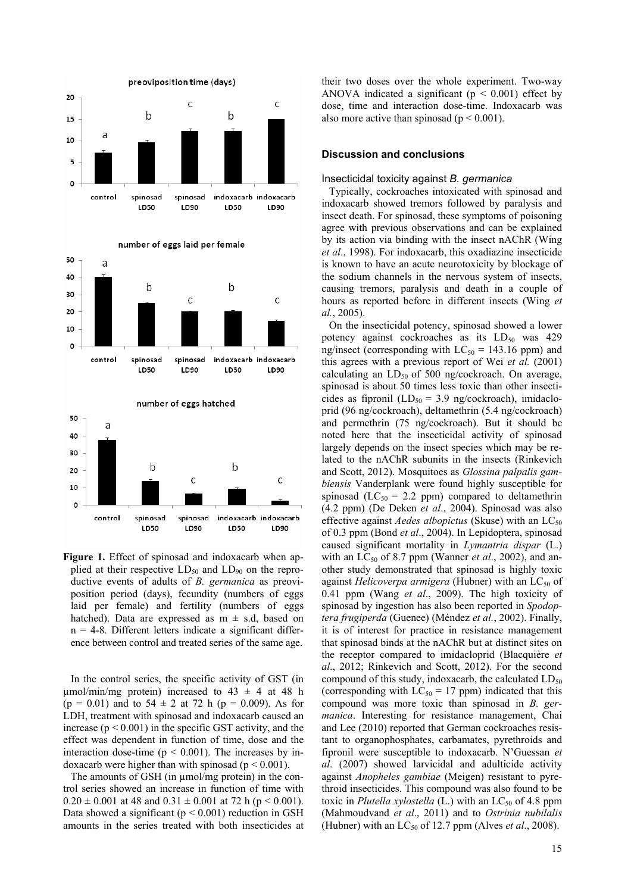





Figure 1. Effect of spinosad and indoxacarb when applied at their respective  $LD_{50}$  and  $LD_{90}$  on the reproductive events of adults of *B. germanica* as preoviposition period (days), fecundity (numbers of eggs laid per female) and fertility (numbers of eggs hatched). Data are expressed as  $m \pm s.d$ , based on  $n = 4-8$ . Different letters indicate a significant difference between control and treated series of the same age.

In the control series, the specific activity of GST (in umol/min/mg protein) increased to  $43 \pm 4$  at  $48$  h  $(p = 0.01)$  and to  $54 \pm 2$  at 72 h  $(p = 0.009)$ . As for LDH, treatment with spinosad and indoxacarb caused an increase ( $p < 0.001$ ) in the specific GST activity, and the effect was dependent in function of time, dose and the interaction dose-time ( $p < 0.001$ ). The increases by indoxacarb were higher than with spinosad ( $p < 0.001$ ).

The amounts of GSH (in umol/mg protein) in the control series showed an increase in function of time with  $0.20 \pm 0.001$  at 48 and  $0.31 \pm 0.001$  at 72 h (p < 0.001). Data showed a significant ( $p \le 0.001$ ) reduction in GSH amounts in the series treated with both insecticides at their two doses over the whole experiment. Two-way ANOVA indicated a significant ( $p < 0.001$ ) effect by dose, time and interaction dose-time. Indoxacarb was also more active than spinosad ( $p \le 0.001$ ).

#### **Discussion and conclusions**

#### Insecticidal toxicity against *B. germanica*

Typically, cockroaches intoxicated with spinosad and indoxacarb showed tremors followed by paralysis and insect death. For spinosad, these symptoms of poisoning agree with previous observations and can be explained by its action via binding with the insect nAChR (Wing *et al*., 1998). For indoxacarb, this oxadiazine insecticide is known to have an acute neurotoxicity by blockage of the sodium channels in the nervous system of insects, causing tremors, paralysis and death in a couple of hours as reported before in different insects (Wing *et al.*, 2005).

On the insecticidal potency, spinosad showed a lower potency against cockroaches as its  $LD_{50}$  was 429 ng/insect (corresponding with  $LC_{50} = 143.16$  ppm) and this agrees with a previous report of Wei *et al.* (2001) calculating an  $LD_{50}$  of 500 ng/cockroach. On average, spinosad is about 50 times less toxic than other insecticides as fipronil  $(LD_{50} = 3.9$  ng/cockroach), imidacloprid (96 ng/cockroach), deltamethrin (5.4 ng/cockroach) and permethrin (75 ng/cockroach). But it should be noted here that the insecticidal activity of spinosad largely depends on the insect species which may be related to the nAChR subunits in the insects (Rinkevich and Scott, 2012). Mosquitoes as *Glossina palpalis gambiensis* Vanderplank were found highly susceptible for spinosad ( $LC_{50}$  = 2.2 ppm) compared to deltamethrin (4.2 ppm) (De Deken *et al*., 2004). Spinosad was also effective against *Aedes albopictus* (Skuse) with an  $LC_{50}$ of 0.3 ppm (Bond *et al*., 2004). In Lepidoptera, spinosad caused significant mortality in *Lymantria dispar* (L.) with an  $LC_{50}$  of 8.7 ppm (Wanner *et al.*, 2002), and another study demonstrated that spinosad is highly toxic against *Helicoverpa armigera* (Hubner) with an LC<sub>50</sub> of 0.41 ppm (Wang *et al*., 2009). The high toxicity of spinosad by ingestion has also been reported in *Spodoptera frugiperda* (Guenee) (Méndez *et al.*, 2002). Finally, it is of interest for practice in resistance management that spinosad binds at the nAChR but at distinct sites on the receptor compared to imidacloprid (Blacquière *et al*., 2012; Rinkevich and Scott, 2012). For the second compound of this study, indoxacarb, the calculated  $LD_{50}$ (corresponding with  $LC_{50} = 17$  ppm) indicated that this compound was more toxic than spinosad in *B. germanica*. Interesting for resistance management, Chai and Lee (2010) reported that German cockroaches resistant to organophosphates, carbamates, pyrethroids and fipronil were susceptible to indoxacarb. N'Guessan *et al*. (2007) showed larvicidal and adulticide activity against *Anopheles gambiae* (Meigen) resistant to pyrethroid insecticides. This compound was also found to be toxic in *Plutella xylostella* (L.) with an  $LC_{50}$  of 4.8 ppm (Mahmoudvand *et al*., 2011) and to *Ostrinia nubilalis*  (Hubner) with an  $LC_{50}$  of 12.7 ppm (Alves *et al.*, 2008).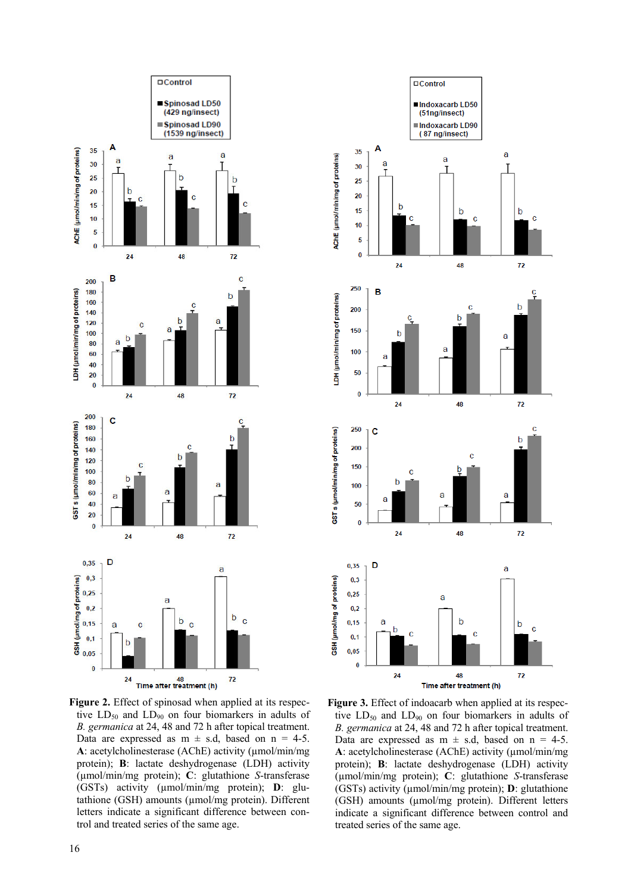

**Figure 2.** Effect of spinosad when applied at its respective  $LD_{50}$  and  $LD_{90}$  on four biomarkers in adults of *B. germanica* at 24, 48 and 72 h after topical treatment. Data are expressed as  $m \pm s.d$ , based on  $n = 4-5$ . A: acetylcholinesterase (AChE) activity ( $\mu$ mol/min/mg protein); **B**: lactate deshydrogenase (LDH) activity (µmol/min/mg protein); **C**: glutathione *S*-transferase (GSTs) activity (µmol/min/mg protein); **D**: glutathione (GSH) amounts (µmol/mg protein). Different letters indicate a significant difference between control and treated series of the same age.



Figure 3. Effect of indoacarb when applied at its respective  $LD_{50}$  and  $LD_{90}$  on four biomarkers in adults of *B. germanica* at 24, 48 and 72 h after topical treatment. Data are expressed as  $m \pm s.d$ , based on  $n = 4-5$ . A: acetylcholinesterase (AChE) activity ( $\mu$ mol/min/mg) protein); **B**: lactate deshydrogenase (LDH) activity (µmol/min/mg protein); **C**: glutathione *S*-transferase (GSTs) activity (µmol/min/mg protein); **D**: glutathione (GSH) amounts (µmol/mg protein). Different letters indicate a significant difference between control and treated series of the same age.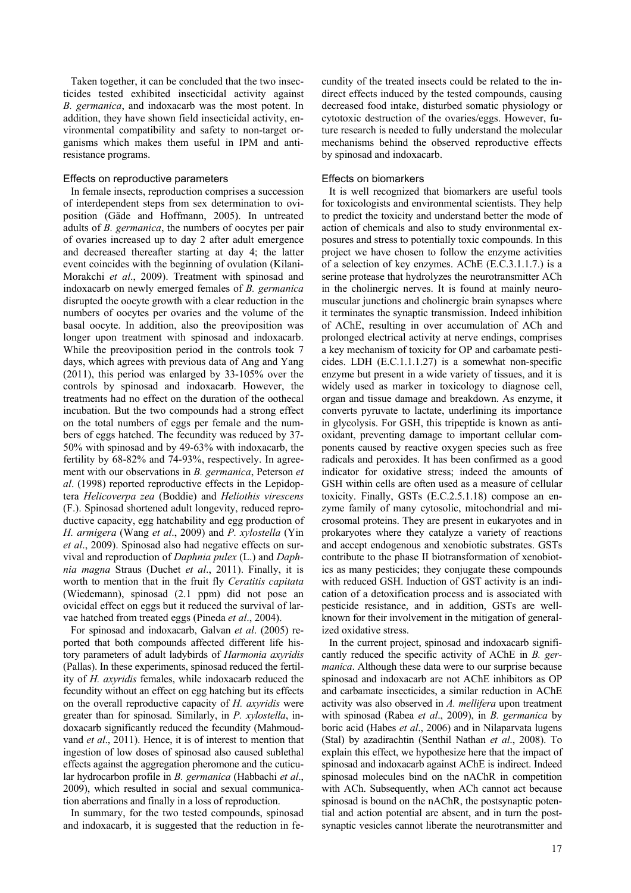Taken together, it can be concluded that the two insecticides tested exhibited insecticidal activity against *B. germanica*, and indoxacarb was the most potent. In addition, they have shown field insecticidal activity, environmental compatibility and safety to non-target organisms which makes them useful in IPM and antiresistance programs.

## Effects on reproductive parameters

In female insects, reproduction comprises a succession of interdependent steps from sex determination to oviposition (Gäde and Hoffmann, 2005). In untreated adults of *B. germanica*, the numbers of oocytes per pair of ovaries increased up to day 2 after adult emergence and decreased thereafter starting at day 4; the latter event coincides with the beginning of ovulation (Kilani-Morakchi *et al*., 2009). Treatment with spinosad and indoxacarb on newly emerged females of *B. germanica* disrupted the oocyte growth with a clear reduction in the numbers of oocytes per ovaries and the volume of the basal oocyte. In addition, also the preoviposition was longer upon treatment with spinosad and indoxacarb. While the preoviposition period in the controls took 7 days, which agrees with previous data of Ang and Yang (2011), this period was enlarged by 33-105% over the controls by spinosad and indoxacarb. However, the treatments had no effect on the duration of the oothecal incubation. But the two compounds had a strong effect on the total numbers of eggs per female and the numbers of eggs hatched. The fecundity was reduced by 37- 50% with spinosad and by 49-63% with indoxacarb, the fertility by 68-82% and 74-93%, respectively. In agreement with our observations in *B. germanica*, Peterson *et al*. (1998) reported reproductive effects in the Lepidoptera *Helicoverpa zea* (Boddie) and *Heliothis virescens* (F.). Spinosad shortened adult longevity, reduced reproductive capacity, egg hatchability and egg production of *H. armigera* (Wang *et al*., 2009) and *P. xylostella* (Yin *et al*., 2009). Spinosad also had negative effects on survival and reproduction of *Daphnia pulex* (L.) and *Daphnia magna* Straus (Duchet *et al*., 2011). Finally, it is worth to mention that in the fruit fly *Ceratitis capitata* (Wiedemann), spinosad (2.1 ppm) did not pose an ovicidal effect on eggs but it reduced the survival of larvae hatched from treated eggs (Pineda *et al*., 2004).

For spinosad and indoxacarb, Galvan *et al*. (2005) reported that both compounds affected different life history parameters of adult ladybirds of *Harmonia axyridis* (Pallas). In these experiments, spinosad reduced the fertility of *H. axyridis* females, while indoxacarb reduced the fecundity without an effect on egg hatching but its effects on the overall reproductive capacity of *H. axyridis* were greater than for spinosad. Similarly, in *P. xylostella*, indoxacarb significantly reduced the fecundity (Mahmoudvand *et al*., 2011). Hence, it is of interest to mention that ingestion of low doses of spinosad also caused sublethal effects against the aggregation pheromone and the cuticular hydrocarbon profile in *B. germanica* (Habbachi *et al*., 2009), which resulted in social and sexual communication aberrations and finally in a loss of reproduction.

In summary, for the two tested compounds, spinosad and indoxacarb, it is suggested that the reduction in fecundity of the treated insects could be related to the indirect effects induced by the tested compounds, causing decreased food intake, disturbed somatic physiology or cytotoxic destruction of the ovaries/eggs. However, future research is needed to fully understand the molecular mechanisms behind the observed reproductive effects by spinosad and indoxacarb.

### Effects on biomarkers

It is well recognized that biomarkers are useful tools for toxicologists and environmental scientists. They help to predict the toxicity and understand better the mode of action of chemicals and also to study environmental exposures and stress to potentially toxic compounds. In this project we have chosen to follow the enzyme activities of a selection of key enzymes. AChE (E.C.3.1.1.7.) is a serine protease that hydrolyzes the neurotransmitter ACh in the cholinergic nerves. It is found at mainly neuromuscular junctions and cholinergic brain synapses where it terminates the synaptic transmission. Indeed inhibition of AChE, resulting in over accumulation of ACh and prolonged electrical activity at nerve endings, comprises a key mechanism of toxicity for OP and carbamate pesticides. LDH (E.C.1.1.1.27) is a somewhat non-specific enzyme but present in a wide variety of tissues, and it is widely used as marker in toxicology to diagnose cell, organ and tissue damage and breakdown. As enzyme, it converts pyruvate to lactate, underlining its importance in glycolysis. For GSH, this tripeptide is known as antioxidant, preventing damage to important cellular components caused by reactive oxygen species such as free radicals and peroxides. It has been confirmed as a good indicator for oxidative stress; indeed the amounts of GSH within cells are often used as a measure of cellular toxicity. Finally, GSTs (E.C.2.5.1.18) compose an enzyme family of many cytosolic, mitochondrial and microsomal proteins. They are present in eukaryotes and in prokaryotes where they catalyze a variety of reactions and accept endogenous and xenobiotic substrates. GSTs contribute to the phase II biotransformation of xenobiotics as many pesticides; they conjugate these compounds with reduced GSH. Induction of GST activity is an indication of a detoxification process and is associated with pesticide resistance, and in addition, GSTs are wellknown for their involvement in the mitigation of generalized oxidative stress.

In the current project, spinosad and indoxacarb significantly reduced the specific activity of AChE in *B. germanica*. Although these data were to our surprise because spinosad and indoxacarb are not AChE inhibitors as OP and carbamate insecticides, a similar reduction in AChE activity was also observed in *A. mellifera* upon treatment with spinosad (Rabea *et al*., 2009), in *B. germanica* by boric acid (Habes *et al*., 2006) and in Nilaparvata lugens (Stal) by azadirachtin (Senthil Nathan *et al*., 2008). To explain this effect, we hypothesize here that the impact of spinosad and indoxacarb against AChE is indirect. Indeed spinosad molecules bind on the nAChR in competition with ACh. Subsequently, when ACh cannot act because spinosad is bound on the nAChR, the postsynaptic potential and action potential are absent, and in turn the postsynaptic vesicles cannot liberate the neurotransmitter and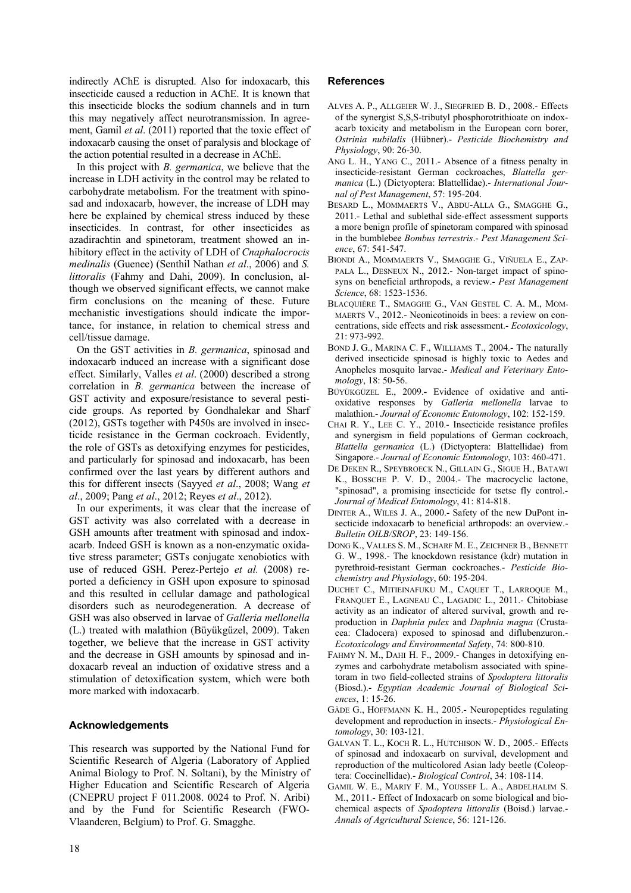indirectly AChE is disrupted. Also for indoxacarb, this insecticide caused a reduction in AChE. It is known that this insecticide blocks the sodium channels and in turn this may negatively affect neurotransmission. In agreement, Gamil *et al*. (2011) reported that the toxic effect of indoxacarb causing the onset of paralysis and blockage of the action potential resulted in a decrease in AChE.

In this project with *B. germanica*, we believe that the increase in LDH activity in the control may be related to carbohydrate metabolism. For the treatment with spinosad and indoxacarb, however, the increase of LDH may here be explained by chemical stress induced by these insecticides. In contrast, for other insecticides as azadirachtin and spinetoram, treatment showed an inhibitory effect in the activity of LDH of *Cnaphalocrocis medinalis* (Guenee) (Senthil Nathan *et al*., 2006) and *S. littoralis* (Fahmy and Dahi, 2009). In conclusion, although we observed significant effects, we cannot make firm conclusions on the meaning of these. Future mechanistic investigations should indicate the importance, for instance, in relation to chemical stress and cell/tissue damage.

On the GST activities in *B. germanica*, spinosad and indoxacarb induced an increase with a significant dose effect. Similarly, Valles *et al*. (2000) described a strong correlation in *B. germanica* between the increase of GST activity and exposure/resistance to several pesticide groups. As reported by Gondhalekar and Sharf (2012), GSTs together with P450s are involved in insecticide resistance in the German cockroach. Evidently, the role of GSTs as detoxifying enzymes for pesticides, and particularly for spinosad and indoxacarb, has been confirmed over the last years by different authors and this for different insects (Sayyed *et al*., 2008; Wang *et al*., 2009; Pang *et al*., 2012; Reyes *et al*., 2012).

In our experiments, it was clear that the increase of GST activity was also correlated with a decrease in GSH amounts after treatment with spinosad and indoxacarb. Indeed GSH is known as a non-enzymatic oxidative stress parameter; GSTs conjugate xenobiotics with use of reduced GSH. Perez-Pertejo *et al.* (2008) reported a deficiency in GSH upon exposure to spinosad and this resulted in cellular damage and pathological disorders such as neurodegeneration. A decrease of GSH was also observed in larvae of *Galleria mellonella* (L.) treated with malathion (Büyükgüzel, 2009). Taken together, we believe that the increase in GST activity and the decrease in GSH amounts by spinosad and indoxacarb reveal an induction of oxidative stress and a stimulation of detoxification system, which were both more marked with indoxacarb.

# **Acknowledgements**

This research was supported by the National Fund for Scientific Research of Algeria (Laboratory of Applied Animal Biology to Prof. N. Soltani), by the Ministry of Higher Education and Scientific Research of Algeria (CNEPRU project F 011.2008. 0024 to Prof. N. Aribi) and by the Fund for Scientific Research (FWO-Vlaanderen, Belgium) to Prof. G. Smagghe.

# **References**

- ALVES A. P., ALLGEIER W. J., SIEGFRIED B. D., 2008.- Effects of the synergist S,S,S-tributyl phosphorotrithioate on indoxacarb toxicity and metabolism in the European corn borer, *Ostrinia nubilalis* (Hübner).- *Pesticide Biochemistry and Physiology*, 90: 26-30.
- ANG L. H., YANG C., 2011.- Absence of a fitness penalty in insecticide-resistant German cockroaches, *Blattella germanica* (L.) (Dictyoptera: Blattellidae).- *International Journal of Pest Management*, 57: 195-204.
- BESARD L., MOMMAERTS V., ABDU-ALLA G., SMAGGHE G., 2011.- Lethal and sublethal side-effect assessment supports a more benign profile of spinetoram compared with spinosad in the bumblebee *Bombus terrestris*.- *Pest Management Science*, 67: 541-547.
- BIONDI A., MOMMAERTS V., SMAGGHE G., VIÑUELA E., ZAP-PALA L., DESNEUX N., 2012.- Non-target impact of spinosyns on beneficial arthropods, a review.- *Pest Management Science*, 68: 1523-1536.
- BLACQUIÈRE T., SMAGGHE G., VAN GESTEL C. A. M., MOM-MAERTS V., 2012.- Neonicotinoids in bees: a review on concentrations, side effects and risk assessment.- *Ecotoxicology*, 21: 973-992.
- BOND J. G., MARINA C. F., WILLIAMS T., 2004.- The naturally derived insecticide spinosad is highly toxic to Aedes and Anopheles mosquito larvae.- *Medical and Veterinary Entomology*, 18: 50-56.
- BÜYÜKGÜZEL E., 2009.**-** Evidence of oxidative and antioxidative responses by *Galleria mellonella* larvae to malathion.- *Journal of Economic Entomology*, 102: 152-159.
- CHAI R. Y., LEE C. Y., 2010.- Insecticide resistance profiles and synergism in field populations of German cockroach, *Blattella germanica* (L.) (Dictyoptera: Blattellidae) from Singapore.- *Journal of Economic Entomology*, 103: 460-471.
- DE DEKEN R., SPEYBROECK N., GILLAIN G., SIGUE H., BATAWI K., BOSSCHE P. V. D., 2004.- The macrocyclic lactone, "spinosad", a promising insecticide for tsetse fly control.- *Journal of Medical Entomology*, 41: 814-818.
- DINTER A., WILES J. A., 2000.- Safety of the new DuPont insecticide indoxacarb to beneficial arthropods: an overview.- *Bulletin OILB/SROP*, 23: 149-156.
- DONG K., VALLES S. M., SCHARF M. E., ZEICHNER B., BENNETT G. W., 1998.- The knockdown resistance (kdr) mutation in pyrethroid-resistant German cockroaches.- *Pesticide Biochemistry and Physiology*, 60: 195-204.
- DUCHET C., MITIEINAFUKU M., CAQUET T., LARROQUE M., FRANQUET E., LAGNEAU C., LAGADIC L., 2011.- Chitobiase activity as an indicator of altered survival, growth and reproduction in *Daphnia pulex* and *Daphnia magna* (Crustacea: Cladocera) exposed to spinosad and diflubenzuron.- *Ecotoxicology and Environmental Safety*, 74: 800-810.
- FAHMY N. M., DAHI H. F., 2009.- Changes in detoxifying enzymes and carbohydrate metabolism associated with spinetoram in two field-collected strains of *Spodoptera littoralis*  (Biosd.).- *Egyptian Academic Journal of Biological Sciences*, 1: 15-26.
- GÄDE G., HOFFMANN K. H., 2005.- Neuropeptides regulating development and reproduction in insects.- *Physiological Entomology*, 30: 103-121.
- GALVAN T. L., KOCH R. L., HUTCHISON W. D., 2005.- Effects of spinosad and indoxacarb on survival, development and reproduction of the multicolored Asian lady beetle (Coleoptera: Coccinellidae).- *Biological Control*, 34: 108-114.
- GAMIL W. E., MARIY F. M., YOUSSEF L. A., ABDELHALIM S. M., 2011.- Effect of Indoxacarb on some biological and biochemical aspects of *Spodoptera littoralis* (Boisd.) larvae.- *Annals of Agricultural Science*, 56: 121-126.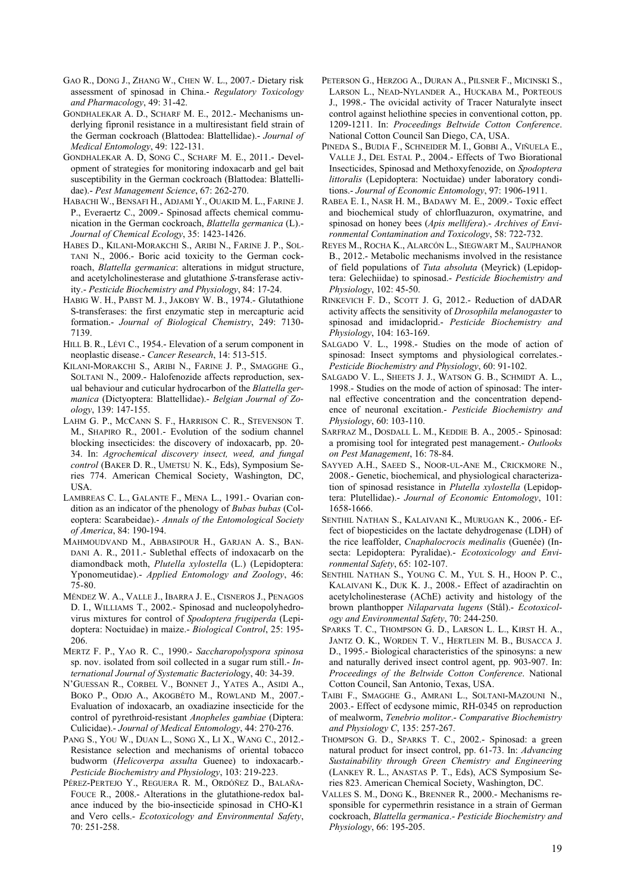- GAO R., DONG J., ZHANG W., CHEN W. L., 2007.- Dietary risk assessment of spinosad in China.- *Regulatory Toxicology and Pharmacology*, 49: 31-42.
- GONDHALEKAR A. D., SCHARF M. E., 2012.- Mechanisms underlying fipronil resistance in a multiresistant field strain of the German cockroach (Blattodea: Blattellidae).- *Journal of Medical Entomology*, 49: 122-131.
- GONDHALEKAR A. D, SONG C., SCHARF M. E., 2011.- Development of strategies for monitoring indoxacarb and gel bait susceptibility in the German cockroach (Blattodea: Blattellidae).- *Pest Management Science*, 67: 262-270.
- HABACHI W., BENSAFI H., ADJAMI Y., OUAKID M. L., FARINE J. P., Everaertz C., 2009.- Spinosad affects chemical communication in the German cockroach, *Blattella germanica* (L).- *Journal of Chemical Ecology*, 35: 1423-1426.
- HABES D., KILANI-MORAKCHI S., ARIBI N., FARINE J. P., SOL-TANI N., 2006.- Boric acid toxicity to the German cockroach, *Blattella germanica*: alterations in midgut structure, and acetylcholinesterase and glutathione *S*-transferase activity.- *Pesticide Biochemistry and Physiology*, 84: 17-24.
- HABIG W. H., PABST M. J., JAKOBY W. B., 1974.- Glutathione S-transferases: the first enzymatic step in mercapturic acid formation.- *Journal of Biological Chemistry*, 249: 7130- 7139.
- HILL B. R., LÉVI C., 1954.- Elevation of a serum component in neoplastic disease.- *Cancer Research*, 14: 513-515.
- KILANI-MORAKCHI S., ARIBI N., FARINE J. P., SMAGGHE G., SOLTANI N., 2009.- Halofenozide affects reproduction, sexual behaviour and cuticular hydrocarbon of the *Blattella germanica* (Dictyoptera: Blattellidae).- *Belgian Journal of Zoology*, 139: 147-155.
- LAHM G. P., MCCANN S. F., HARRISON C. R., STEVENSON T. M., SHAPIRO R., 2001.- Evolution of the sodium channel blocking insecticides: the discovery of indoxacarb, pp. 20- 34. In: *Agrochemical discovery insect, weed, and fungal control* (BAKER D. R., UMETSU N. K., Eds), Symposium Series 774. American Chemical Society, Washington, DC, USA.
- LAMBREAS C. L., GALANTE F., MENA L., 1991.- Ovarian condition as an indicator of the phenology of *Bubas bubas* (Coleoptera: Scarabeidae).- *Annals of the Entomological Society of America*, 84: 190-194.
- MAHMOUDVAND M., ABBASIPOUR H., GARJAN A. S., BAN-DANI A. R., 2011.- Sublethal effects of indoxacarb on the diamondback moth, *Plutella xylostella* (L.) (Lepidoptera: Yponomeutidae).- *Applied Entomology and Zoology*, 46: 75-80.
- MÉNDEZ W. A., VALLE J., IBARRA J. E., CISNEROS J., PENAGOS D. I., WILLIAMS T., 2002.- Spinosad and nucleopolyhedrovirus mixtures for control of *Spodoptera frugiperda* (Lepidoptera: Noctuidae) in maize.- *Biological Control*, 25: 195- 206.
- MERTZ F. P., YAO R. C., 1990.- *Saccharopolyspora spinosa* sp. nov. isolated from soil collected in a sugar rum still.- *International Journal of Systematic Bacteriol*ogy, 40: 34-39.
- N'GUESSAN R., CORBEL V., BONNET J., YATES A., ASIDI A., BOKO P., ODJO A., AKOGBÉTO M., ROWLAND M., 2007.- Evaluation of indoxacarb, an oxadiazine insecticide for the control of pyrethroid-resistant *Anopheles gambiae* (Diptera: Culicidae).- *Journal of Medical Entomology*, 44: 270-276.
- PANG S., YOU W., DUAN L., SONG X., LI X., WANG C., 2012.- Resistance selection and mechanisms of oriental tobacco budworm (*Helicoverpa assulta* Guenee) to indoxacarb.- *Pesticide Biochemistry and Physiology*, 103: 219-223.
- PÉREZ-PERTEJO Y., REGUERA R. M., ORDÓÑEZ D., BALAÑA-FOUCE R., 2008.- Alterations in the glutathione-redox balance induced by the bio-insecticide spinosad in CHO-K1 and Vero cells.- *Ecotoxicology and Environmental Safety*, 70: 251-258.
- PETERSON G., HERZOG A., DURAN A., PILSNER F., MICINSKI S., LARSON L., NEAD-NYLANDER A., HUCKABA M., PORTEOUS J., 1998.- The ovicidal activity of Tracer Naturalyte insect control against heliothine species in conventional cotton, pp. 1209-1211. In: *Proceedings Beltwide Cotton Conference*. National Cotton Council San Diego, CA, USA.
- PINEDA S., BUDIA F., SCHNEIDER M. I., GOBBI A., VIÑUELA E., VALLE J., DEL ESTAL P., 2004.- Effects of Two Biorational Insecticides, Spinosad and Methoxyfenozide, on *Spodoptera littoralis* (Lepidoptera: Noctuidae) under laboratory conditions.- *Journal of Economic Entomology*, 97: 1906-1911.
- RABEA E. I., NASR H. M., BADAWY M. E., 2009.- Toxic effect and biochemical study of chlorfluazuron, oxymatrine, and spinosad on honey bees (*Apis mellifera*).- *Archives of Environmental Contamination and Toxicology*, 58: 722-732.
- REYES M., ROCHA K., ALARCÓN L., SIEGWART M., SAUPHANOR B., 2012.- Metabolic mechanisms involved in the resistance of field populations of *Tuta absoluta* (Meyrick) (Lepidoptera: Gelechiidae) to spinosad.- *Pesticide Biochemistry and Physiology*, 102: 45-50.
- RINKEVICH F. D., SCOTT J. G, 2012.- Reduction of dADAR activity affects the sensitivity of *Drosophila melanogaster* to spinosad and imidacloprid.- *Pesticide Biochemistry and Physiology*, 104: 163-169.
- SALGADO V. L., 1998.- Studies on the mode of action of spinosad: Insect symptoms and physiological correlates.- *Pesticide Biochemistry and Physiology*, 60: 91-102.
- SALGADO V. L., SHEETS J. J., WATSON G. B., SCHMIDT A. L., 1998.- Studies on the mode of action of spinosad: The internal effective concentration and the concentration dependence of neuronal excitation.- *Pesticide Biochemistry and Physiology*, 60: 103-110.
- SARFRAZ M., DOSDALL L. M., KEDDIE B. A., 2005.- Spinosad: a promising tool for integrated pest management.- *Outlooks on Pest Management*, 16: 78-84.
- SAYYED A.H., SAEED S., NOOR-UL-ANE M., CRICKMORE N., 2008.- Genetic, biochemical, and physiological characterization of spinosad resistance in *Plutella xylostella* (Lepidoptera: Plutellidae).- *Journal of Economic Entomology*, 101: 1658-1666.
- SENTHIL NATHAN S., KALAIVANI K., MURUGAN K., 2006.- Effect of biopesticides on the lactate dehydrogenase (LDH) of the rice leaffolder, *Cnaphalocrocis medinalis* (Guenée) (Insecta: Lepidoptera: Pyralidae).- *Ecotoxicology and Environmental Safety*, 65: 102-107.
- SENTHIL NATHAN S., YOUNG C. M., YUL S. H., HOON P. C., KALAIVANI K., DUK K. J., 2008.- Effect of azadirachtin on acetylcholinesterase (AChE) activity and histology of the brown planthopper *Nilaparvata lugens* (Stål).- *Ecotoxicology and Environmental Safety*, 70: 244-250.
- SPARKS T. C., THOMPSON G. D., LARSON L. L., KIRST H. A., JANTZ O. K., WORDEN T. V., HERTLEIN M. B., BUSACCA J. D., 1995.- Biological characteristics of the spinosyns: a new and naturally derived insect control agent, pp. 903-907. In: *Proceedings of the Beltwide Cotton Conference*. National Cotton Council, San Antonio, Texas, USA.
- TAIBI F., SMAGGHE G., AMRANI L., SOLTANI-MAZOUNI N., 2003.- Effect of ecdysone mimic, RH-0345 on reproduction of mealworm, *Tenebrio molitor*.- *Comparative Biochemistry and Physiology C*, 135: 257-267.
- THOMPSON G. D., SPARKS T. C., 2002.- Spinosad: a green natural product for insect control, pp. 61-73. In: *Advancing Sustainability through Green Chemistry and Engineering* (LANKEY R. L., ANASTAS P. T., Eds), ACS Symposium Series 823. American Chemical Society, Washington, DC.
- VALLES S. M., DONG K., BRENNER R., 2000.- Mechanisms responsible for cypermethrin resistance in a strain of German cockroach, *Blattella germanica*.- *Pesticide Biochemistry and Physiology*, 66: 195-205.